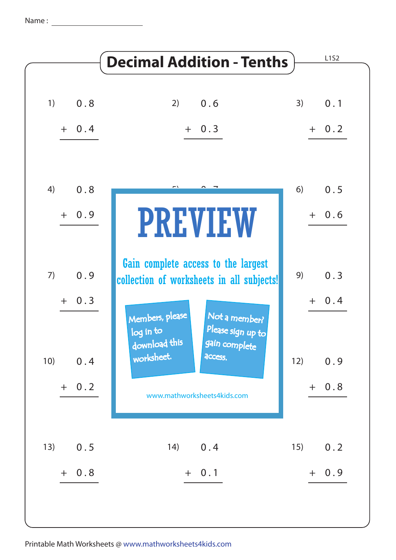